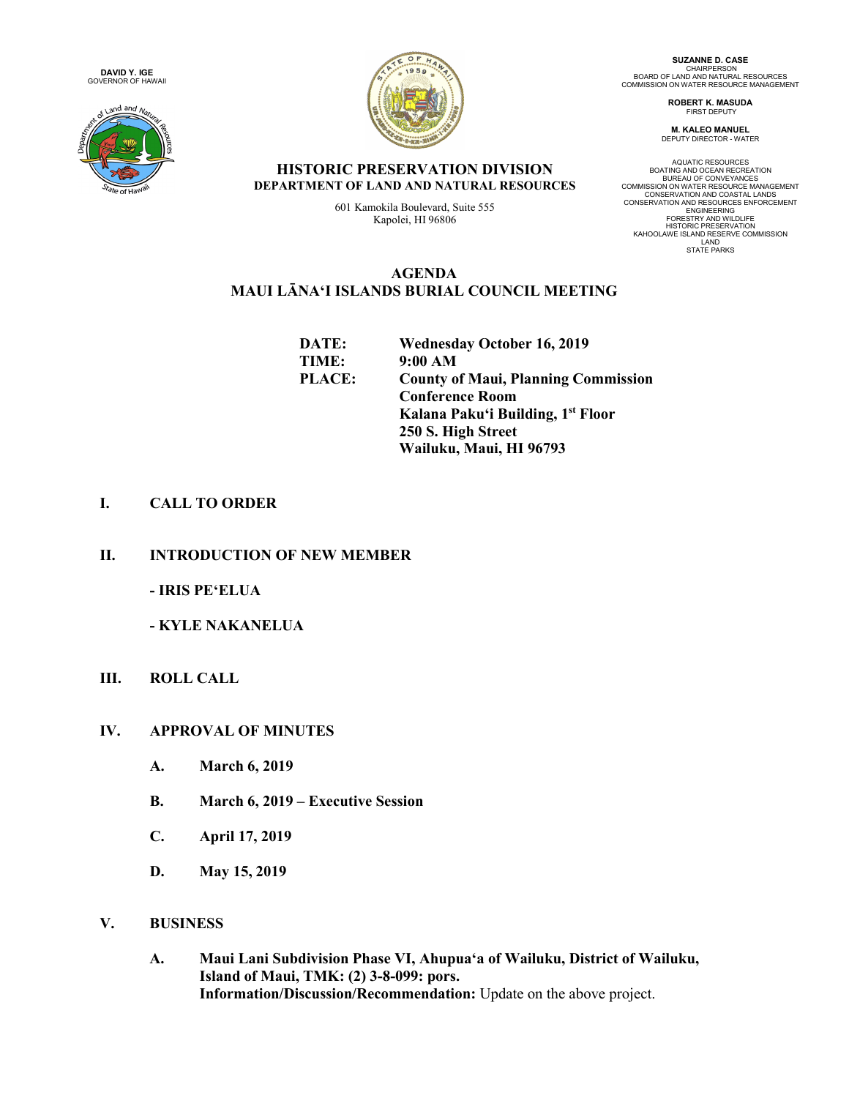**DAVID Y. IGE** GOVERNOR OF HAWAII





**SUZANNE D. CASE** CHAIRPERSON<br>BOARD OF LAND AND NATURAL RESOURCES<br>COMMISSION ON WATER RESOURCE MANAGEMENT

> **ROBERT K. MASUDA** FIRST DEPUTY

**M. KALEO MANUEL** DEPUTY DIRECTOR - WATER

AQUATIC RESOURCES<br>BOATING AND OCEAN RECREATION<br>BUREAU OF CONVEYANCES<br>COMMISSION ON WATER RESOURCE MANAGEMENT<br>CONSERVATION AND RESOURCES ENFORCEMENT<br>CONSERVATION AND RESOURCES ENFORCEMENT ENGINEERING<br>FORESTRY AND WILDLIFE<br>HISTORIC PRESERVATION<br>KAHOOLAWE ISLAND RESERVE COMMISSION<br>LAND<br>STATE PARKS

### **HISTORIC PRESERVATION DIVISION DEPARTMENT OF LAND AND NATURAL RESOURCES**

601 Kamokila Boulevard, Suite 555 Kapolei, HI 96806

## **AGENDA MAUI LĀNAʻI ISLANDS BURIAL COUNCIL MEETING**

| DATE:         | <b>Wednesday October 16, 2019</b>          |
|---------------|--------------------------------------------|
| TIME:         | 9:00 AM                                    |
| <b>PLACE:</b> | <b>County of Maui, Planning Commission</b> |
|               | <b>Conference Room</b>                     |
|               | Kalana Paku'i Building, 1st Floor          |
|               | 250 S. High Street                         |
|               | Wailuku, Maui, HI 96793                    |

# **I. CALL TO ORDER**

**II. INTRODUCTION OF NEW MEMBER**

**- IRIS PEʻELUA**

**- KYLE NAKANELUA**

**III. ROLL CALL**

### **IV. APPROVAL OF MINUTES**

- **A. March 6, 2019**
- **B. March 6, 2019 – Executive Session**
- **C. April 17, 2019**
- **D. May 15, 2019**

### **V. BUSINESS**

**A. Maui Lani Subdivision Phase VI, Ahupuaʻa of Wailuku, District of Wailuku, Island of Maui, TMK: (2) 3-8-099: pors. Information/Discussion/Recommendation:** Update on the above project.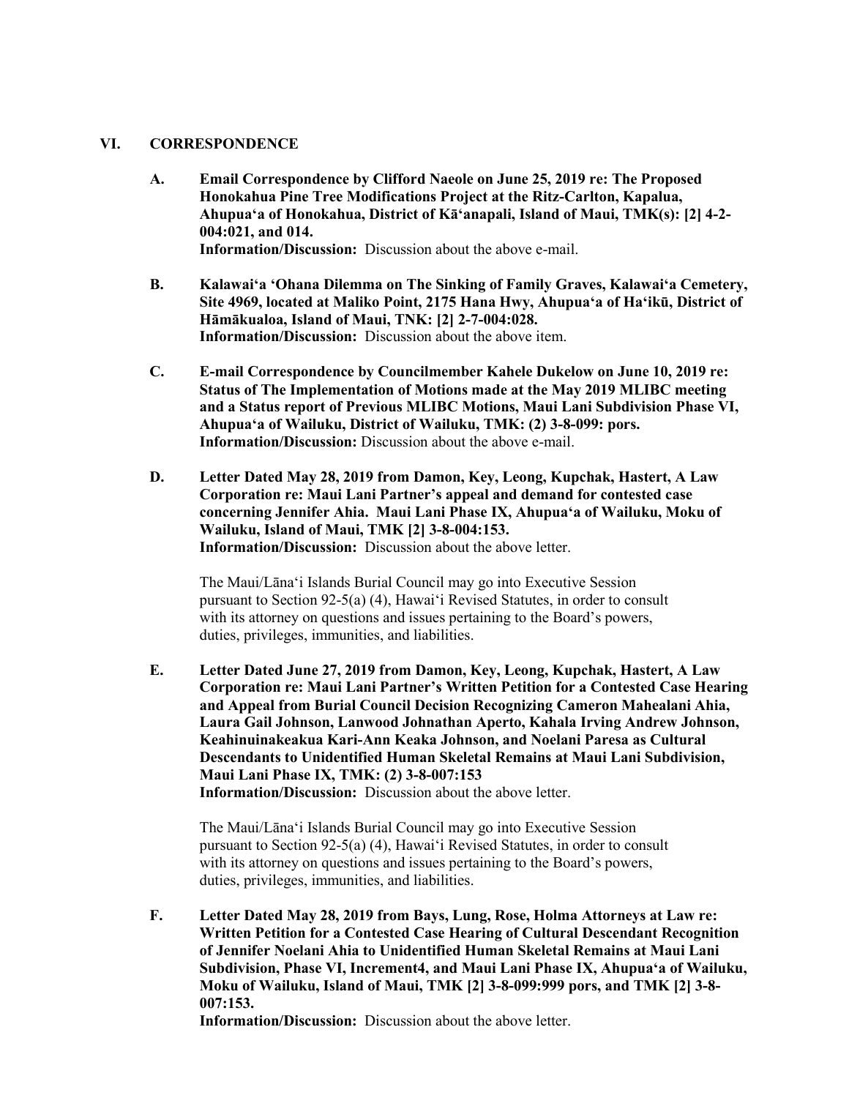#### **VI. CORRESPONDENCE**

- **A. Email Correspondence by Clifford Naeole on June 25, 2019 re: The Proposed Honokahua Pine Tree Modifications Project at the Ritz-Carlton, Kapalua, Ahupuaʻa of Honokahua, District of Kāʻanapali, Island of Maui, TMK(s): [2] 4-2- 004:021, and 014. Information/Discussion:** Discussion about the above e-mail.
- **B. Kalawaiʻa ʻOhana Dilemma on The Sinking of Family Graves, Kalawaiʻa Cemetery, Site 4969, located at Maliko Point, 2175 Hana Hwy, Ahupuaʻa of Haʻikū, District of Hāmākualoa, Island of Maui, TNK: [2] 2-7-004:028. Information/Discussion:** Discussion about the above item.
- **C. E-mail Correspondence by Councilmember Kahele Dukelow on June 10, 2019 re: Status of The Implementation of Motions made at the May 2019 MLIBC meeting and a Status report of Previous MLIBC Motions, Maui Lani Subdivision Phase VI, Ahupuaʻa of Wailuku, District of Wailuku, TMK: (2) 3-8-099: pors. Information/Discussion:** Discussion about the above e-mail.
- **D. Letter Dated May 28, 2019 from Damon, Key, Leong, Kupchak, Hastert, A Law Corporation re: Maui Lani Partner's appeal and demand for contested case concerning Jennifer Ahia. Maui Lani Phase IX, Ahupuaʻa of Wailuku, Moku of Wailuku, Island of Maui, TMK [2] 3-8-004:153. Information/Discussion:** Discussion about the above letter.

The Maui/Lānaʻi Islands Burial Council may go into Executive Session pursuant to Section 92-5(a) (4), Hawaiʻi Revised Statutes, in order to consult with its attorney on questions and issues pertaining to the Board's powers, duties, privileges, immunities, and liabilities.

**E. Letter Dated June 27, 2019 from Damon, Key, Leong, Kupchak, Hastert, A Law Corporation re: Maui Lani Partner's Written Petition for a Contested Case Hearing and Appeal from Burial Council Decision Recognizing Cameron Mahealani Ahia, Laura Gail Johnson, Lanwood Johnathan Aperto, Kahala Irving Andrew Johnson, Keahinuinakeakua Kari-Ann Keaka Johnson, and Noelani Paresa as Cultural Descendants to Unidentified Human Skeletal Remains at Maui Lani Subdivision, Maui Lani Phase IX, TMK: (2) 3-8-007:153 Information/Discussion:** Discussion about the above letter.

The Maui/Lānaʻi Islands Burial Council may go into Executive Session pursuant to Section 92-5(a) (4), Hawaiʻi Revised Statutes, in order to consult with its attorney on questions and issues pertaining to the Board's powers, duties, privileges, immunities, and liabilities.

**F. Letter Dated May 28, 2019 from Bays, Lung, Rose, Holma Attorneys at Law re: Written Petition for a Contested Case Hearing of Cultural Descendant Recognition of Jennifer Noelani Ahia to Unidentified Human Skeletal Remains at Maui Lani Subdivision, Phase VI, Increment4, and Maui Lani Phase IX, Ahupuaʻa of Wailuku, Moku of Wailuku, Island of Maui, TMK [2] 3-8-099:999 pors, and TMK [2] 3-8- 007:153.**

**Information/Discussion:** Discussion about the above letter.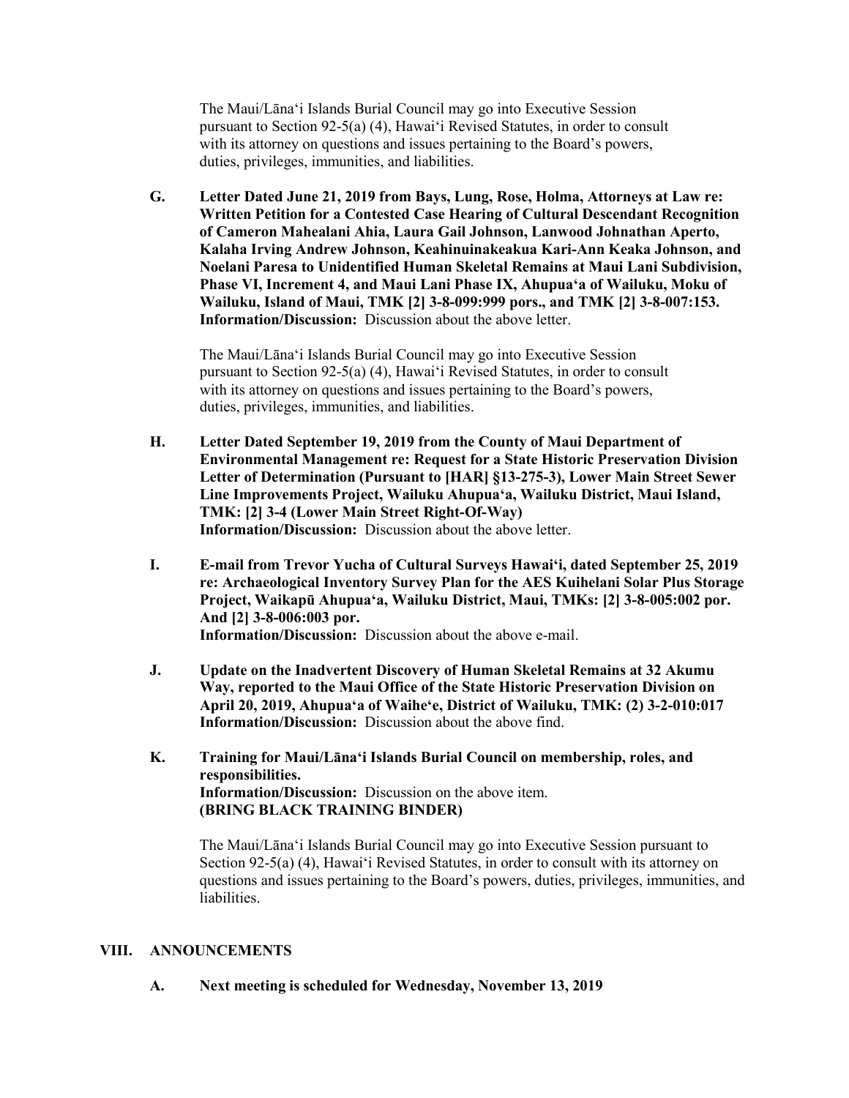The Maui/Lānaʻi Islands Burial Council may go into Executive Session pursuant to Section 92-5(a) (4), Hawaiʻi Revised Statutes, in order to consult with its attorney on questions and issues pertaining to the Board's powers, duties, privileges, immunities, and liabilities.

**G. Letter Dated June 21, 2019 from Bays, Lung, Rose, Holma, Attorneys at Law re: Written Petition for a Contested Case Hearing of Cultural Descendant Recognition of Cameron Mahealani Ahia, Laura Gail Johnson, Lanwood Johnathan Aperto, Kalaha Irving Andrew Johnson, Keahinuinakeakua Kari-Ann Keaka Johnson, and Noelani Paresa to Unidentified Human Skeletal Remains at Maui Lani Subdivision, Phase VI, Increment 4, and Maui Lani Phase IX, Ahupuaʻa of Wailuku, Moku of Wailuku, Island of Maui, TMK [2] 3-8-099:999 pors., and TMK [2] 3-8-007:153. Information/Discussion:** Discussion about the above letter.

The Maui/Lānaʻi Islands Burial Council may go into Executive Session pursuant to Section 92-5(a) (4), Hawaiʻi Revised Statutes, in order to consult with its attorney on questions and issues pertaining to the Board's powers, duties, privileges, immunities, and liabilities.

- **H. Letter Dated September 19, 2019 from the County of Maui Department of Environmental Management re: Request for a State Historic Preservation Division Letter of Determination (Pursuant to [HAR] §13-275-3), Lower Main Street Sewer Line Improvements Project, Wailuku Ahupuaʻa, Wailuku District, Maui Island, TMK: [2] 3-4 (Lower Main Street Right-Of-Way) Information/Discussion:** Discussion about the above letter.
- **I. E-mail from Trevor Yucha of Cultural Surveys Hawaiʻi, dated September 25, 2019 re: Archaeological Inventory Survey Plan for the AES Kuihelani Solar Plus Storage Project, Waikapū Ahupuaʻa, Wailuku District, Maui, TMKs: [2] 3-8-005:002 por. And [2] 3-8-006:003 por. Information/Discussion:** Discussion about the above e-mail.
- **J. Update on the Inadvertent Discovery of Human Skeletal Remains at 32 Akumu Way, reported to the Maui Office of the State Historic Preservation Division on April 20, 2019, Ahupuaʻa of Waiheʻe, District of Wailuku, TMK: (2) 3-2-010:017 Information/Discussion:** Discussion about the above find.
- **K. Training for Maui/Lānaʻi Islands Burial Council on membership, roles, and responsibilities. Information/Discussion:** Discussion on the above item. **(BRING BLACK TRAINING BINDER)**

The Maui/Lānaʻi Islands Burial Council may go into Executive Session pursuant to Section 92-5(a) (4), Hawaiʻi Revised Statutes, in order to consult with its attorney on questions and issues pertaining to the Board's powers, duties, privileges, immunities, and liabilities.

### **VIII. ANNOUNCEMENTS**

**A. Next meeting is scheduled for Wednesday, November 13, 2019**